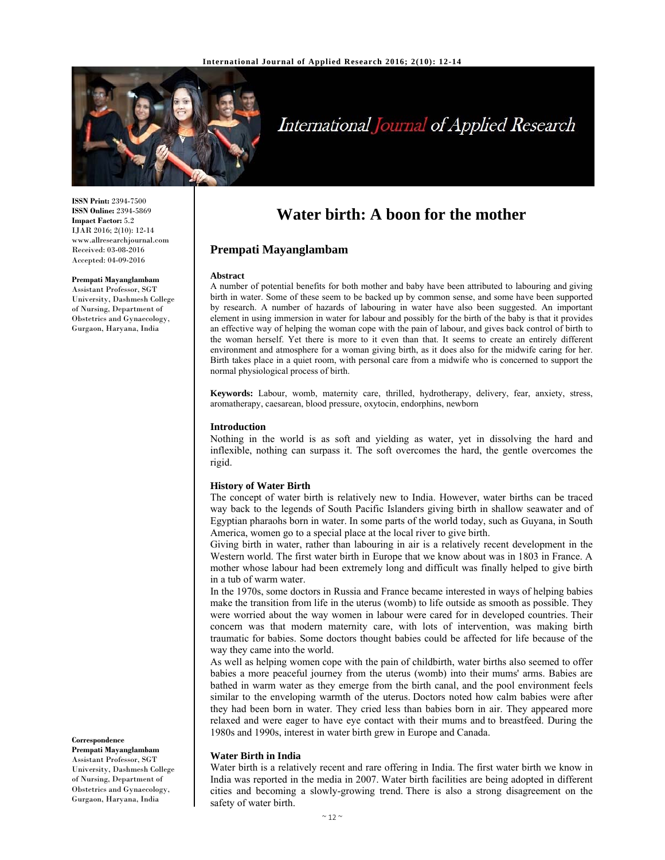

# International Journal of Applied Research

**ISSN Print:** 2394-7500 **ISSN Online:** 2394-5869 **Impact Factor:** 5.2 IJAR 2016; 2(10): 12-14 www.allresearchjournal.com Received: 03-08-2016 Accepted: 04-09-2016

#### **Prempati Mayanglambam**

Assistant Professor, SGT University, Dashmesh College of Nursing, Department of Obstetrics and Gynaecology, Gurgaon, Haryana, India

**Correspondence**

**Prempati Mayanglambam**  Assistant Professor, SGT University, Dashmesh College of Nursing, Department of Obstetrics and Gynaecology, Gurgaon, Haryana, India

# **Water birth: A boon for the mother**

# **Prempati Mayanglambam**

#### **Abstract**

A number of potential benefits for both mother and baby have been attributed to labouring and giving birth in water. Some of these seem to be backed up by common sense, and some have been supported by research. A number of hazards of labouring in water have also been suggested. An important element in using immersion in water for labour and possibly for the birth of the baby is that it provides an effective way of helping the woman cope with the pain of labour, and gives back control of birth to the woman herself. Yet there is more to it even than that. It seems to create an entirely different environment and atmosphere for a woman giving birth, as it does also for the midwife caring for her. Birth takes place in a quiet room, with personal care from a midwife who is concerned to support the normal physiological process of birth.

**Keywords:** Labour, womb, maternity care, thrilled, hydrotherapy, delivery, fear, anxiety, stress, aromatherapy, caesarean, blood pressure, oxytocin, endorphins, newborn

#### **Introduction**

Nothing in the world is as soft and yielding as water, yet in dissolving the hard and inflexible, nothing can surpass it. The soft overcomes the hard, the gentle overcomes the rigid.

#### **History of Water Birth**

The concept of water birth is relatively new to India. However, water births can be traced way back to the legends of South Pacific Islanders giving birth in shallow seawater and of Egyptian pharaohs born in water. In some parts of the world today, such as Guyana, in South America, women go to a special place at the local river to give birth.

Giving birth in water, rather than labouring in air is a relatively recent development in the Western world. The first water birth in Europe that we know about was in 1803 in France. A mother whose labour had been extremely long and difficult was finally helped to give birth in a tub of warm water.

In the 1970s, some doctors in Russia and France became interested in ways of helping babies make the transition from life in the uterus (womb) to life outside as smooth as possible. They were worried about the way women in labour were cared for in developed countries. Their concern was that modern maternity care, with lots of intervention, was making birth traumatic for babies. Some doctors thought babies could be affected for life because of the way they came into the world.

As well as helping women cope with the pain of childbirth, water births also seemed to offer babies a more peaceful journey from the uterus (womb) into their mums' arms. Babies are bathed in warm water as they emerge from the birth canal, and the pool environment feels similar to the enveloping warmth of the uterus. Doctors noted how calm babies were after they had been born in water. They cried less than babies born in air. They appeared more relaxed and were eager to have eye contact with their mums and to breastfeed. During the 1980s and 1990s, interest in water birth grew in Europe and Canada.

## **Water Birth in India**

Water birth is a relatively recent and rare offering in India. The first water birth we know in India was reported in the media in 2007. Water birth facilities are being adopted in different cities and becoming a slowly-growing trend. There is also a strong disagreement on the safety of water birth.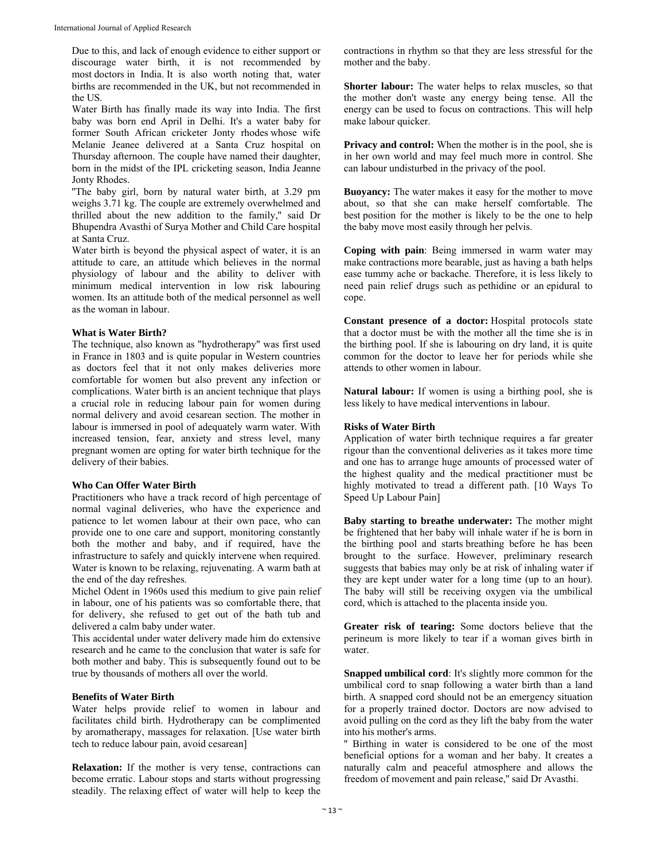Due to this, and lack of enough evidence to either support or discourage water birth, it is not recommended by most doctors in India. It is also worth noting that, water births are recommended in the UK, but not recommended in the US.

Water Birth has finally made its way into India. The first baby was born end April in Delhi. It's a water baby for former South African cricketer Jonty rhodes whose wife Melanie Jeanee delivered at a Santa Cruz hospital on Thursday afternoon. The couple have named their daughter, born in the midst of the IPL cricketing season, India Jeanne Jonty Rhodes.

''The baby girl, born by natural water birth, at 3.29 pm weighs 3.71 kg. The couple are extremely overwhelmed and thrilled about the new addition to the family,'' said Dr Bhupendra Avasthi of Surya Mother and Child Care hospital at Santa Cruz.

Water birth is beyond the physical aspect of water, it is an attitude to care, an attitude which believes in the normal physiology of labour and the ability to deliver with minimum medical intervention in low risk labouring women. Its an attitude both of the medical personnel as well as the woman in labour.

#### **What is Water Birth?**

The technique, also known as "hydrotherapy" was first used in France in 1803 and is quite popular in Western countries as doctors feel that it not only makes deliveries more comfortable for women but also prevent any infection or complications. Water birth is an ancient technique that plays a crucial role in reducing labour pain for women during normal delivery and avoid cesarean section. The mother in labour is immersed in pool of adequately warm water. With increased tension, fear, anxiety and stress level, many pregnant women are opting for water birth technique for the delivery of their babies.

### **Who Can Offer Water Birth**

Practitioners who have a track record of high percentage of normal vaginal deliveries, who have the experience and patience to let women labour at their own pace, who can provide one to one care and support, monitoring constantly both the mother and baby, and if required, have the infrastructure to safely and quickly intervene when required. Water is known to be relaxing, rejuvenating. A warm bath at the end of the day refreshes.

Michel Odent in 1960s used this medium to give pain relief in labour, one of his patients was so comfortable there, that for delivery, she refused to get out of the bath tub and delivered a calm baby under water.

This accidental under water delivery made him do extensive research and he came to the conclusion that water is safe for both mother and baby. This is subsequently found out to be true by thousands of mothers all over the world.

# **Benefits of Water Birth**

Water helps provide relief to women in labour and facilitates child birth. Hydrotherapy can be complimented by aromatherapy, massages for relaxation. [Use water birth tech to reduce labour pain, avoid cesarean]

**Relaxation:** If the mother is very tense, contractions can become erratic. Labour stops and starts without progressing steadily. The relaxing effect of water will help to keep the

contractions in rhythm so that they are less stressful for the mother and the baby.

**Shorter labour:** The water helps to relax muscles, so that the mother don't waste any energy being tense. All the energy can be used to focus on contractions. This will help make labour quicker.

**Privacy and control:** When the mother is in the pool, she is in her own world and may feel much more in control. She can labour undisturbed in the privacy of the pool.

**Buoyancy:** The water makes it easy for the mother to move about, so that she can make herself comfortable. The best position for the mother is likely to be the one to help the baby move most easily through her pelvis.

**Coping with pain**: Being immersed in warm water may make contractions more bearable, just as having a bath helps ease tummy ache or backache. Therefore, it is less likely to need pain relief drugs such as pethidine or an epidural to cope.

**Constant presence of a doctor:** Hospital protocols state that a doctor must be with the mother all the time she is in the birthing pool. If she is labouring on dry land, it is quite common for the doctor to leave her for periods while she attends to other women in labour.

**Natural labour:** If women is using a birthing pool, she is less likely to have medical interventions in labour.

#### **Risks of Water Birth**

Application of water birth technique requires a far greater rigour than the conventional deliveries as it takes more time and one has to arrange huge amounts of processed water of the highest quality and the medical practitioner must be highly motivated to tread a different path. [10 Ways To Speed Up Labour Pain]

**Baby starting to breathe underwater:** The mother might be frightened that her baby will inhale water if he is born in the birthing pool and starts breathing before he has been brought to the surface. However, preliminary research suggests that babies may only be at risk of inhaling water if they are kept under water for a long time (up to an hour). The baby will still be receiving oxygen via the umbilical cord, which is attached to the placenta inside you.

**Greater risk of tearing:** Some doctors believe that the perineum is more likely to tear if a woman gives birth in water.

**Snapped umbilical cord**: It's slightly more common for the umbilical cord to snap following a water birth than a land birth. A snapped cord should not be an emergency situation for a properly trained doctor. Doctors are now advised to avoid pulling on the cord as they lift the baby from the water into his mother's arms.

'' Birthing in water is considered to be one of the most beneficial options for a woman and her baby. It creates a naturally calm and peaceful atmosphere and allows the freedom of movement and pain release,'' said Dr Avasthi.